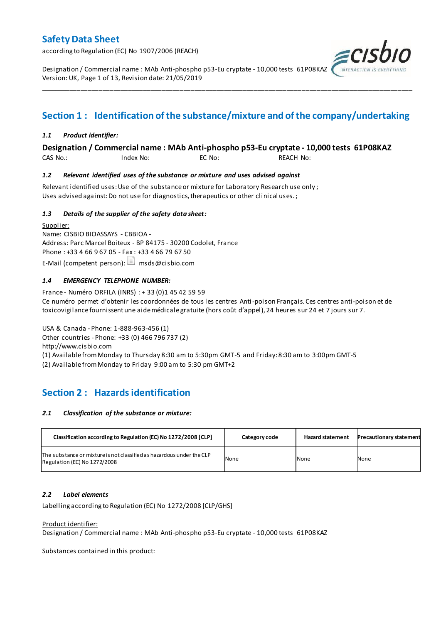according to Regulation (EC) No 1907/2006 (REACH)

Designation / Commercial name : MAb Anti-phospho p53-Eu cryptate - 10,000 tests 61P08KAZ Version: UK, Page 1 of 13, Revision date: 21/05/2019

### **Section 1 : Identification of the substance/mixture and of the company/undertaking**

\_\_\_\_\_\_\_\_\_\_\_\_\_\_\_\_\_\_\_\_\_\_\_\_\_\_\_\_\_\_\_\_\_\_\_\_\_\_\_\_\_\_\_\_\_\_\_\_\_\_\_\_\_\_\_\_\_\_\_\_\_\_\_\_\_\_\_\_\_\_\_\_\_\_\_\_\_\_\_\_\_\_\_\_\_\_\_\_\_\_\_\_\_\_\_\_\_\_\_\_\_

#### *1.1 Product identifier:*

#### **Designation / Commercial name : MAb Anti-phospho p53-Eu cryptate - 10,000 tests 61P08KAZ**

CAS No.: Index No: EC No: REACH No:

#### *1.2 Relevant identified uses of the substance or mixture and uses advised against*

Relevant identified uses: Use of the substance or mixture for Laboratory Research use only ; Uses advised against: Do not use for diagnostics, therapeutics or other clinical uses.;

#### *1.3 Details of the supplier of the safety data sheet:*

Supplier: Name: CISBIO BIOASSAYS - CBBIOA - Address: Parc Marcel Boiteux - BP 84175 - 30200 Codolet, France Phone : +33 4 66 9 67 05 - Fax : +33 4 66 79 67 50 E-Mail (competent person):  $\Box$  msds@cisbio.com

#### *1.4 EMERGENCY TELEPHONE NUMBER:*

France - Numéro ORFILA (INRS) : + 33 (0)1 45 42 59 59 Ce numéro permet d'obtenir les coordonnées de tous les centres Anti-poison Français. Ces centres anti-poison et de toxicovigilance fournissent une aide médicale gratuite (hors coût d'appel), 24 heures sur 24 et 7 jours sur 7.

USA & Canada - Phone: 1-888-963-456 (1) Other countries - Phone: +33 (0) 466 796 737 (2) http://www.cisbio.com (1) Available from Monday to Thursday 8:30 am to 5:30pm GMT-5 and Friday: 8:30 am to 3:00pm GMT-5

(2) Available from Monday to Friday 9:00 am to 5:30 pm GMT+2

### **Section 2 : Hazards identification**

#### *2.1 Classification of the substance or mixture:*

| Classification according to Regulation (EC) No 1272/2008 [CLP]                                        | Category code | <b>Hazard statement</b> | <b>Precautionary statement</b> |
|-------------------------------------------------------------------------------------------------------|---------------|-------------------------|--------------------------------|
| The substance or mixture is not classified as hazardous under the CLP<br>Regulation (EC) No 1272/2008 | None          | None                    | None                           |

#### *2.2 Label elements*

Labelling according to Regulation (EC) No 1272/2008 [CLP/GHS]

#### Product identifier:

Designation / Commercial name : MAb Anti-phospho p53-Eu cryptate - 10,000 tests 61P08KAZ

Substances contained in this product:

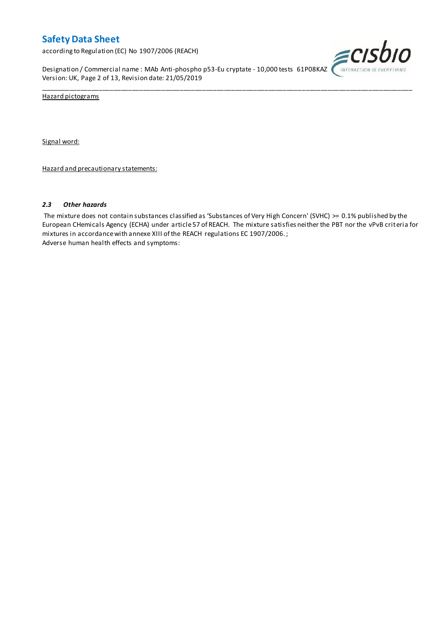according to Regulation (EC) No 1907/2006 (REACH)

Designation / Commercial name : MAb Anti-phospho p53-Eu cryptate - 10,000 tests 61P08KAZ Version: UK, Page 2 of 13, Revision date: 21/05/2019



Hazard pictograms

Signal word:

Hazard and precautionary statements:

#### *2.3 Other hazards*

The mixture does not contain substances classified as 'Substances of Very High Concern' (SVHC) >= 0.1% published by the European CHemicals Agency (ECHA) under article 57 of REACH. The mixture satisfies neither the PBT nor the vPvB criteria for mixtures in accordance with annexe XIII of the REACH regulations EC 1907/2006. ; Adverse human health effects and symptoms:

\_\_\_\_\_\_\_\_\_\_\_\_\_\_\_\_\_\_\_\_\_\_\_\_\_\_\_\_\_\_\_\_\_\_\_\_\_\_\_\_\_\_\_\_\_\_\_\_\_\_\_\_\_\_\_\_\_\_\_\_\_\_\_\_\_\_\_\_\_\_\_\_\_\_\_\_\_\_\_\_\_\_\_\_\_\_\_\_\_\_\_\_\_\_\_\_\_\_\_\_\_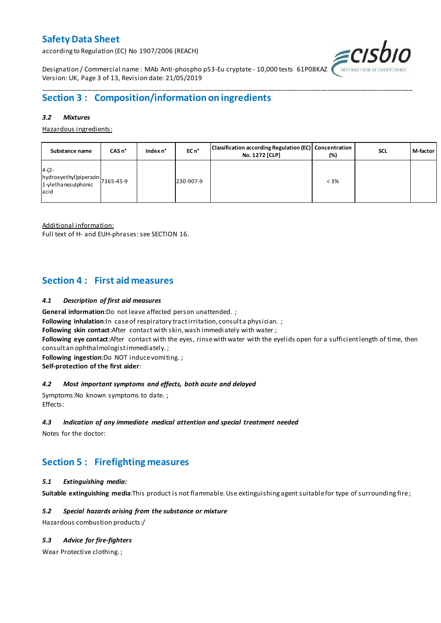according to Regulation (EC) No 1907/2006 (REACH)



Designation / Commercial name : MAb Anti-phospho p53-Eu cryptate - 10,000 tests 61P08KAZ Version: UK, Page 3 of 13, Revision date: 21/05/2019

### **Section 3 : Composition/information on ingredients**

#### *3.2 Mixtures*

Hazardous ingredients:

| Substance name                                                                 | CASn <sup>o</sup> | Index n° | EC n <sup>o</sup> | Classification according Regulation (EC) Concentration<br>No. 1272 [CLP] | (%)     | <b>SCL</b> | M-factor |
|--------------------------------------------------------------------------------|-------------------|----------|-------------------|--------------------------------------------------------------------------|---------|------------|----------|
| $4-(2-$<br>hydroxyethyl)piperazin<br>7365-45-9<br>1-ylethanesulphonic<br>lacid |                   |          | 230-907-9         |                                                                          | $< 3\%$ |            |          |

\_\_\_\_\_\_\_\_\_\_\_\_\_\_\_\_\_\_\_\_\_\_\_\_\_\_\_\_\_\_\_\_\_\_\_\_\_\_\_\_\_\_\_\_\_\_\_\_\_\_\_\_\_\_\_\_\_\_\_\_\_\_\_\_\_\_\_\_\_\_\_\_\_\_\_\_\_\_\_\_\_\_\_\_\_\_\_\_\_\_\_\_\_\_\_\_\_\_\_\_\_

Additional information:

Full text of H- and EUH-phrases: see SECTION 16.

### **Section 4 : First aid measures**

#### *4.1 Description of first aid measures*

**General information**:Do not leave affected person unattended. ;

**Following inhalation:**In case of respiratory tractirritation, consult a physician. ;

**Following skin contact**:After contact with skin, wash immediately with water ;

**Following eye contact**:After contact with the eyes, rinse with water with the eyelids open for a sufficient length of time, then consult an ophthalmologist immediately. ;

**Following ingestion**:Do NOT induce vomiting. ;

**Self-protection of the first aider**:

#### *4.2 Most important symptoms and effects, both acute and delayed*

Symptoms:No known symptoms to date. ; Effects:

#### *4.3 Indication of any immediate medical attention and special treatment needed*

Notes for the doctor:

### **Section 5 : Firefighting measures**

#### *5.1 Extinguishing media:*

**Suitable extinguishing media**:This product is not flammable. Use extinguishing agent suitable for type of surrounding fire ;

#### *5.2 Special hazards arising from the substance or mixture*

Hazardous combustion products:/

#### *5.3 Advice for fire-fighters*

Wear Protective clothing. ;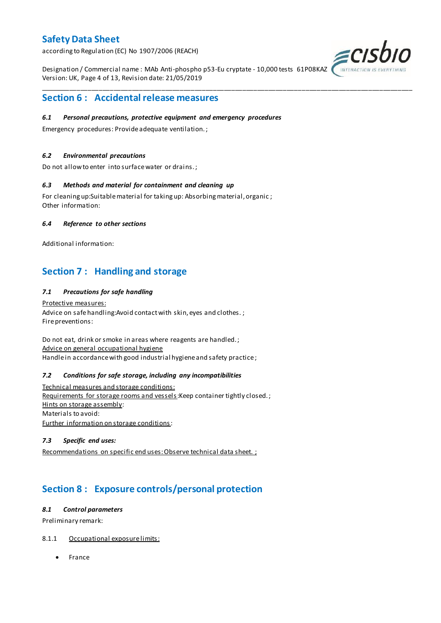according to Regulation (EC) No 1907/2006 (REACH)

Designation / Commercial name : MAb Anti-phospho p53-Eu cryptate - 10,000 tests 61P08KAZ Version: UK, Page 4 of 13, Revision date: 21/05/2019

\_\_\_\_\_\_\_\_\_\_\_\_\_\_\_\_\_\_\_\_\_\_\_\_\_\_\_\_\_\_\_\_\_\_\_\_\_\_\_\_\_\_\_\_\_\_\_\_\_\_\_\_\_\_\_\_\_\_\_\_\_\_\_\_\_\_\_\_\_\_\_\_\_\_\_\_\_\_\_\_\_\_\_\_\_\_\_\_\_\_\_\_\_\_\_\_\_\_\_\_\_



### **Section 6 : Accidental release measures**

#### *6.1 Personal precautions, protective equipment and emergency procedures*

Emergency procedures: Provide adequate ventilation. ;

#### *6.2 Environmental precautions*

Do not allow to enter into surface water or drains. ;

#### *6.3 Methods and material for containment and cleaning up*

For cleaning up:Suitable material for taking up: Absorbing material, organic ; Other information:

#### *6.4 Reference to other sections*

Additional information:

### **Section 7 : Handling and storage**

#### *7.1 Precautions for safe handling*

Protective measures: Advice on safe handling: Avoid contact with skin, eyes and clothes.; Fire preventions:

Do not eat, drink or smoke in areas where reagents are handled. ; Advice on general occupational hygiene Handle in accordance with good industrial hygiene and safety practice;

#### *7.2 Conditions for safe storage, including any incompatibilities*

Technical measures and storage conditions: Requirements for storage rooms and vessels: Keep container tightly closed.; Hints on storage assembly: Materials to avoid: Further information on storage conditions:

#### *7.3 Specific end uses:*

Recommendations on specific end uses: Observe technical data sheet. ;

### **Section 8 : Exposure controls/personal protection**

#### *8.1 Control parameters*

Preliminary remark:

#### 8.1.1 Occupational exposure limits:

• France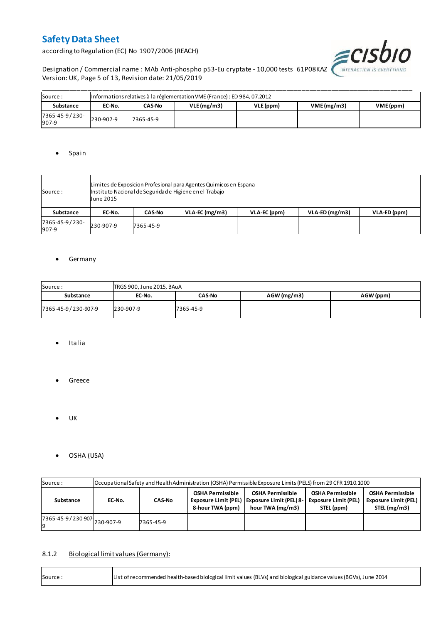according to Regulation (EC) No 1907/2006 (REACH)



Designation / Commercial name : MAb Anti-phospho p53-Eu cryptate - 10,000 tests 61P08KAZ WITERACTION IS EVERYTHING Version: UK, Page 5 of 13, Revision date: 21/05/2019

| Source:                 |           | Informations relatives à la réglementation VME (France) : ED 984, 07.2012 |            |           |                         |  |  |  |  |  |  |  |  |
|-------------------------|-----------|---------------------------------------------------------------------------|------------|-----------|-------------------------|--|--|--|--|--|--|--|--|
| Substance               | EC-No.    | CAS-No                                                                    | VLE(mg/m3) | VLE (ppm) | VME(mg/m3)<br>VME (ppm) |  |  |  |  |  |  |  |  |
| 7365-45-9/230-<br>907-9 | 230-907-9 | 7365-45-9                                                                 |            |           |                         |  |  |  |  |  |  |  |  |

#### • Spain

| Source :                | June 2015 | Limites de Exposicion Profesional para Agentes Quimicos en Espana<br>Instituto Nacional de Seguridade Higiene en el Trabajo |                  |              |                  |              |  |  |  |  |  |
|-------------------------|-----------|-----------------------------------------------------------------------------------------------------------------------------|------------------|--------------|------------------|--------------|--|--|--|--|--|
| Substance               | EC-No.    | <b>CAS-No</b>                                                                                                               | $VLA-EC$ (mg/m3) | VLA-EC (ppm) | $VLA-ED (mg/m3)$ | VLA-ED (ppm) |  |  |  |  |  |
| 7365-45-9/230-<br>907-9 | 230-907-9 | 7365-45-9                                                                                                                   |                  |              |                  |              |  |  |  |  |  |

#### **•** Germany

| Source:<br>TRGS 900, June 2015, BAuA |           |               |               |           |  |  |  |  |  |  |
|--------------------------------------|-----------|---------------|---------------|-----------|--|--|--|--|--|--|
| Substance                            | EC-No.    | <b>CAS-No</b> | $AGW$ (mg/m3) | AGW (ppm) |  |  |  |  |  |  |
| 7365-45-9/230-907-9                  | 230-907-9 | 7365-45-9     |               |           |  |  |  |  |  |  |

- Italia
- **•** Greece
- $\bullet$  UK

r

OSHA (USA)

| Source:                       |        | Occupational Safety and Health Administration (OSHA) Permissible Exposure Limits (PELS) from 29 CFR 1910.1000 |  |                                                                                               |                                                                                                                                                |  |  |  |  |  |  |  |  |
|-------------------------------|--------|---------------------------------------------------------------------------------------------------------------|--|-----------------------------------------------------------------------------------------------|------------------------------------------------------------------------------------------------------------------------------------------------|--|--|--|--|--|--|--|--|
| Substance                     | EC-No. | <b>CAS-No</b>                                                                                                 |  | <b>OSHA Permissible</b><br>Exposure Limit (PEL)   Exposure Limit (PEL) 8-<br>hour TWA (mg/m3) | <b>OSHA Permissible</b><br><b>OSHA Permissible</b><br><b>Exposure Limit (PEL)</b><br><b>Exposure Limit (PEL)</b><br>STEL (mg/m3)<br>STEL (ppm) |  |  |  |  |  |  |  |  |
| 7365-45-9 / 230-907 230-907-9 |        | 7365-45-9                                                                                                     |  |                                                                                               |                                                                                                                                                |  |  |  |  |  |  |  |  |

#### 8.1.2 Biological limit values (Germany):

| List of recommended health-based biological limit values (BLVs) and biological guidance values (BGVs), June 2014<br>Source: |
|-----------------------------------------------------------------------------------------------------------------------------|
|-----------------------------------------------------------------------------------------------------------------------------|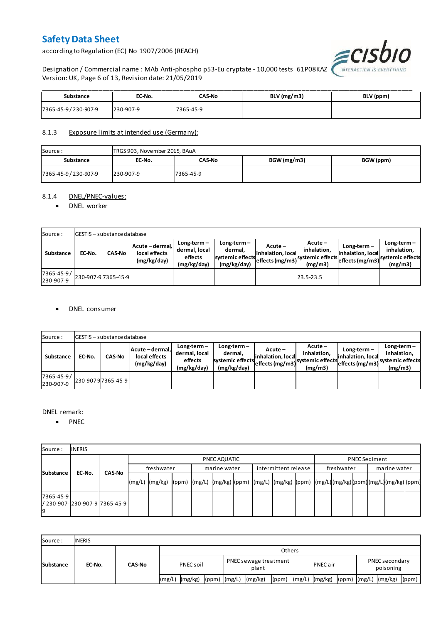according to Regulation (EC) No 1907/2006 (REACH)



Designation / Commercial name : MAb Anti-phospho p53-Eu cryptate - 10,000 tests 61P08KAZ Version: UK, Page 6 of 13, Revision date: 21/05/2019

| Substance           | EC-No.    | <b>CAS-No</b> | BLV (mg/m3) | BLV (ppm) |
|---------------------|-----------|---------------|-------------|-----------|
| 7365-45-9/230-907-9 | 230-907-9 | 7365-45-9     |             |           |

#### 8.1.3 Exposure limits at intended use (Germany):

| Source:             | TRGS 903, November 2015, BAuA |           |             |           |  |  |  |  |  |  |  |
|---------------------|-------------------------------|-----------|-------------|-----------|--|--|--|--|--|--|--|
| Substance           | EC-No.                        | CAS-No    | BGW (mg/m3) | BGW (ppm) |  |  |  |  |  |  |  |
| 7365-45-9/230-907-9 | 230-907-9                     | 7365-45-9 |             |           |  |  |  |  |  |  |  |

#### 8.1.4 DNEL/PNEC-values:

#### • DNEL worker

| Source:                 |        | <b>GESTIS</b> - substance database |                                                 |                                                          |                                                           |                                 |                                                                            |                                    |                                                                                 |  |  |  |  |  |  |
|-------------------------|--------|------------------------------------|-------------------------------------------------|----------------------------------------------------------|-----------------------------------------------------------|---------------------------------|----------------------------------------------------------------------------|------------------------------------|---------------------------------------------------------------------------------|--|--|--|--|--|--|
| Substance               | EC-No. | <b>CAS-No</b>                      | Acute - dermal,<br>local effects<br>(mg/kg/day) | $Long-term -$<br>dermal, local<br>effects<br>(mg/kg/day) | Long-term –<br>dermal.<br>systemic effects<br>(mg/kg/day) | $Acute -$<br>linhalation. local | $Acute -$<br>inhalation.<br>vuleffects (mg/m3) systemic effects<br>(mg/m3) | $Long-term -$<br>inhalation, local | $Long-term -$<br>inhalation.<br>~~ leffects (mg/m3) systemic effects<br>(mg/m3) |  |  |  |  |  |  |
| 7365-45-9/<br>230-907-9 |        | 230-907-97365-45-9                 |                                                 |                                                          |                                                           |                                 | 23.5-23.5                                                                  |                                    |                                                                                 |  |  |  |  |  |  |

#### DNEL consumer

| Source:                       |        | GESTIS - substance database |                                               |                                                          |                                                             |                              |                                                                           |                                  |                                                                              |  |  |  |  |  |
|-------------------------------|--------|-----------------------------|-----------------------------------------------|----------------------------------------------------------|-------------------------------------------------------------|------------------------------|---------------------------------------------------------------------------|----------------------------------|------------------------------------------------------------------------------|--|--|--|--|--|
| Substance                     | EC-No. | <b>CAS-No</b>               | Acute-dermal.<br>local effects<br>(mg/kg/day) | $Long-term -$<br>dermal, local<br>effects<br>(mg/kg/day) | $Long-term -$<br>dermal,<br>systemic effects<br>(mg/kg/day) | Acute –<br>inhalation, local | $Acute -$<br>inhalation.<br>"leffects (mg/m3) systemic effects<br>(mg/m3) | Long-term –<br>inhalation, local | $Long-term -$<br>inhalation.<br>weffects (mg/m3) systemic effects<br>(mg/m3) |  |  |  |  |  |
| $7365 - 45 - 9/$<br>230-907-9 |        | 230-907-97365-45-9          |                                               |                                                          |                                                             |                              |                                                                           |                                  |                                                                              |  |  |  |  |  |

#### DNEL remark:

• PNEC

| Source:         | <b>INERIS</b>                    |               |            |                                                                                                                  |  |  |              |  |                      |  |            |  |                      |  |  |
|-----------------|----------------------------------|---------------|------------|------------------------------------------------------------------------------------------------------------------|--|--|--------------|--|----------------------|--|------------|--|----------------------|--|--|
| Substance       |                                  |               |            | PNEC AQUATIC                                                                                                     |  |  |              |  |                      |  |            |  | <b>PNEC Sediment</b> |  |  |
|                 | EC-No.                           | <b>CAS-No</b> | freshwater |                                                                                                                  |  |  | marine water |  | intermittent release |  | freshwater |  | marine water         |  |  |
|                 |                                  |               |            | (mg/L)  (mg/kg)  (ppm)  (mg/L)  (mg/kg) (ppm)  (mg/L)  (mg/kg)  (ppm)  (mg/L) (mg/kg) (ppm) (mg/L) (mg/kg) (ppm) |  |  |              |  |                      |  |            |  |                      |  |  |
| 7365-45-9<br>19 | l/ 230-907-l230-907-9l7365-45-9l |               |            |                                                                                                                  |  |  |              |  |                      |  |            |  |                      |  |  |

| Source:          | <b>INERIS</b> |               |                    |                                      |                |                               |  |  |  |  |  |
|------------------|---------------|---------------|--------------------|--------------------------------------|----------------|-------------------------------|--|--|--|--|--|
| <b>Substance</b> | EC-No.        | <b>CAS-No</b> | <b>Others</b>      |                                      |                |                               |  |  |  |  |  |
|                  |               |               | PNEC soil          | PNEC sewage treatment<br>plant       | PNEC air       | PNEC secondary<br>poisoning   |  |  |  |  |  |
|                  |               |               | (mg/kg)<br>l(mg/L) | (mg/kg)<br>$(ppm)$ $(mg/L)$<br>(ppm) | (mg/L) (mg/kg) | (ppm) (mg/L) (mg/kg)<br>(ppm) |  |  |  |  |  |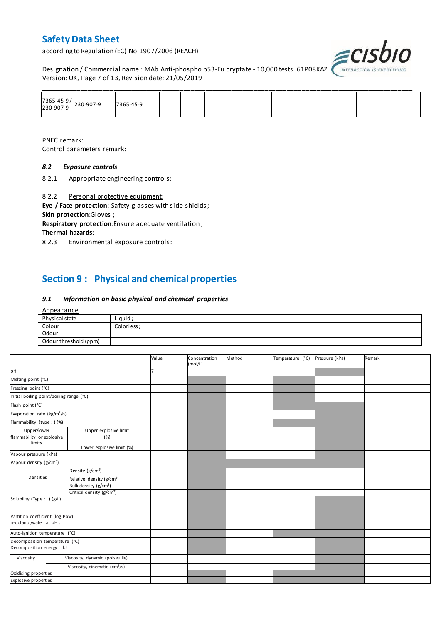according to Regulation (EC) No 1907/2006 (REACH)



Designation / Commercial name : MAb Anti-phospho p53-Eu cryptate - 10,000 tests 61P08KAZ *INTERACTION IS I* Version: UK, Page 7 of 13, Revision date: 21/05/2019

| $\begin{array}{ c c c }\n 7365-45-9/230-907-9\n \end{array}$ | 17365-45-9 |  |  |  |  |  |  |
|--------------------------------------------------------------|------------|--|--|--|--|--|--|

PNEC remark: Control parameters remark:

#### *8.2 Exposure controls*

8.2.1 Appropriate engineering controls:

8.2.2 Personal protective equipment:

**Eye / Face protection**: Safety glasses with side-shields ; **Skin protection**:Gloves ;

**Respiratory protection**:Ensure adequate ventilation ;

**Thermal hazards**:

8.2.3 Environmental exposure controls:

### **Section 9 : Physical and chemical properties**

#### *9.1 Information on basic physical and chemical properties*

| <b>Appearance</b>     |             |
|-----------------------|-------------|
| Physical state        | Liquid;     |
| Colour                | Colorless ; |
| Odour                 |             |
| Odour threshold (ppm) |             |

|                                                             |                                           | Value | Concentration<br>(mol/L) | Method | Temperature (°C) | Pressure (kPa) | Remark |
|-------------------------------------------------------------|-------------------------------------------|-------|--------------------------|--------|------------------|----------------|--------|
| pH                                                          |                                           |       |                          |        |                  |                |        |
| Melting point (°C)                                          |                                           |       |                          |        |                  |                |        |
| Freezing point (°C)                                         |                                           |       |                          |        |                  |                |        |
| Initial boiling point/boiling range (°C)                    |                                           |       |                          |        |                  |                |        |
| Flash point (°C)                                            |                                           |       |                          |        |                  |                |        |
| Evaporation rate (kg/m <sup>2</sup> /h)                     |                                           |       |                          |        |                  |                |        |
| Flammability (type : ) (%)                                  |                                           |       |                          |        |                  |                |        |
| Upper/lower<br>flammability or explosive<br>limits          | Upper explosive limit<br>(%)              |       |                          |        |                  |                |        |
|                                                             | Lower explosive limit (%)                 |       |                          |        |                  |                |        |
| Vapour pressure (kPa)                                       |                                           |       |                          |        |                  |                |        |
| Vapour density (g/cm <sup>3</sup> )                         |                                           |       |                          |        |                  |                |        |
|                                                             | Density (g/cm <sup>3</sup> )              |       |                          |        |                  |                |        |
| Densities                                                   | Relative density (g/cm <sup>3</sup> )     |       |                          |        |                  |                |        |
|                                                             | Bulk density (g/cm <sup>3</sup> )         |       |                          |        |                  |                |        |
|                                                             | Critical density (g/cm <sup>3</sup> )     |       |                          |        |                  |                |        |
| Solubility (Type: ) (g/L)                                   |                                           |       |                          |        |                  |                |        |
| Partition coefficient (log Pow)<br>n-octanol/water at pH :  |                                           |       |                          |        |                  |                |        |
| Auto-ignition temperature (°C)                              |                                           |       |                          |        |                  |                |        |
| Decomposition temperature (°C)<br>Decomposition energy : kJ |                                           |       |                          |        |                  |                |        |
| Viscosity                                                   | Viscosity, dynamic (poiseuille)           |       |                          |        |                  |                |        |
|                                                             | Viscosity, cinematic (cm <sup>3</sup> /s) |       |                          |        |                  |                |        |
| Oxidising properties                                        |                                           |       |                          |        |                  |                |        |
| <b>Explosive properties</b>                                 |                                           |       |                          |        |                  |                |        |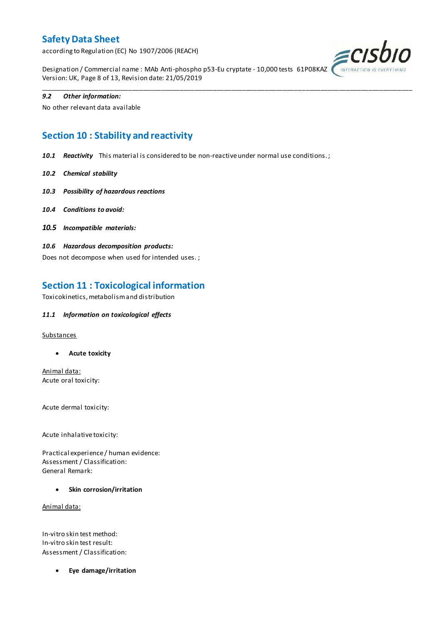according to Regulation (EC) No 1907/2006 (REACH)



Designation / Commercial name : MAb Anti-phospho p53-Eu cryptate - 10,000 tests 61P08KAZ Version: UK, Page 8 of 13, Revision date: 21/05/2019

\_\_\_\_\_\_\_\_\_\_\_\_\_\_\_\_\_\_\_\_\_\_\_\_\_\_\_\_\_\_\_\_\_\_\_\_\_\_\_\_\_\_\_\_\_\_\_\_\_\_\_\_\_\_\_\_\_\_\_\_\_\_\_\_\_\_\_\_\_\_\_\_\_\_\_\_\_\_\_\_\_\_\_\_\_\_\_\_\_\_\_\_\_\_\_\_\_\_\_\_\_

#### *9.2 Other information:*

No other relevant data available

### **Section 10 : Stability and reactivity**

*10.1 Reactivity* This material is considered to be non-reactive under normal use conditions. ;

- *10.2 Chemical stability*
- *10.3 Possibility of hazardous reactions*
- *10.4 Conditions to avoid:*
- *10.5 Incompatible materials:*
- *10.6 Hazardous decomposition products:*

Does not decompose when used for intended uses. ;

### **Section 11 : Toxicological information**

Toxicokinetics, metabolism and distribution

#### *11.1 Information on toxicological effects*

#### **Substances**

**Acute toxicity**

Animal data: Acute oral toxicity:

Acute dermal toxicity:

Acute inhalative toxicity:

Practical experience / human evidence: Assessment / Classification: General Remark:

**Skin corrosion/irritation**

Animal data:

In-vitro skin test method: In-vitro skin test result: Assessment / Classification:

**Eye damage/irritation**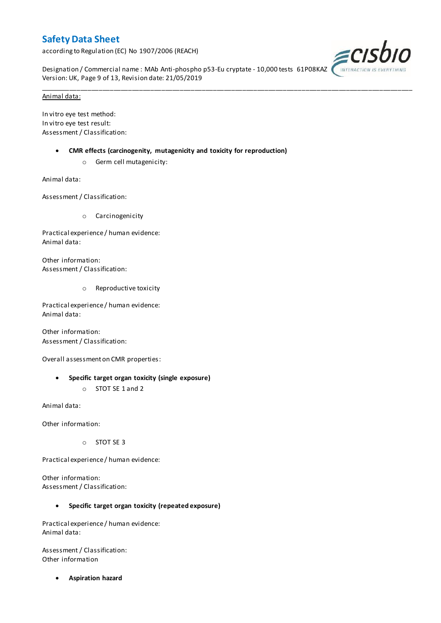according to Regulation (EC) No 1907/2006 (REACH)



Designation / Commercial name : MAb Anti-phospho p53-Eu cryptate - 10,000 tests 61P08KAZ Version: UK, Page 9 of 13, Revision date: 21/05/2019

\_\_\_\_\_\_\_\_\_\_\_\_\_\_\_\_\_\_\_\_\_\_\_\_\_\_\_\_\_\_\_\_\_\_\_\_\_\_\_\_\_\_\_\_\_\_\_\_\_\_\_\_\_\_\_\_\_\_\_\_\_\_\_\_\_\_\_\_\_\_\_\_\_\_\_\_\_\_\_\_\_\_\_\_\_\_\_\_\_\_\_\_\_\_\_\_\_\_\_\_\_

#### Animal data:

In vitro eye test method: In vitro eye test result: Assessment / Classification:

- **CMR effects (carcinogenity, mutagenicity and toxicity for reproduction)**
	- o Germ cell mutagenicity:

Animal data:

Assessment / Classification:

o Carcinogenicity

Practical experience / human evidence: Animal data:

Other information: Assessment / Classification:

o Reproductive toxicity

Practical experience / human evidence: Animal data:

Other information: Assessment / Classification:

Overall assessment on CMR properties:

- **Specific target organ toxicity (single exposure)**
	- o STOT SE 1 and 2

Animal data:

Other information:

o STOT SE 3

Practical experience / human evidence:

Other information: Assessment / Classification:

#### **Specific target organ toxicity (repeated exposure)**

Practical experience / human evidence: Animal data:

Assessment / Classification: Other information

**Aspiration hazard**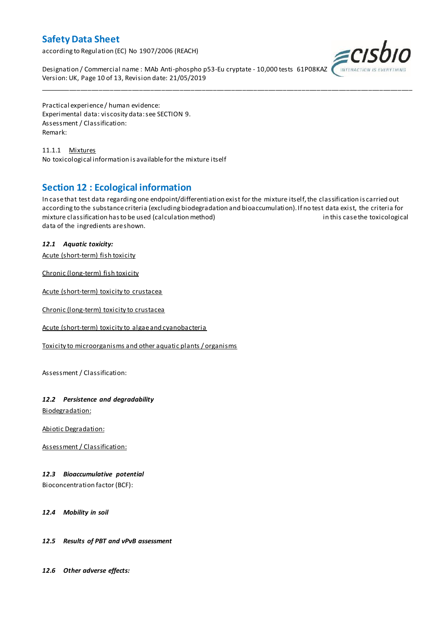according to Regulation (EC) No 1907/2006 (REACH)



Designation / Commercial name : MAb Anti-phospho p53-Eu cryptate - 10,000 tests 61P08KAZ Version: UK, Page 10 of 13, Revision date: 21/05/2019

Practical experience / human evidence: Experimental data: viscosity data: see SECTION 9. Assessment / Classification: Remark:

11.1.1 Mixtures No toxicological information is available for the mixture itself

### **Section 12 : Ecological information**

In case that test data regarding one endpoint/differentiation exist for the mixture itself, the classification is carried out according to the substance criteria (excluding biodegradation and bioaccumulation). If no test data exist, the criteria for mixture classification has to be used (calculation method) in this case the toxicological data of the ingredients are shown.

\_\_\_\_\_\_\_\_\_\_\_\_\_\_\_\_\_\_\_\_\_\_\_\_\_\_\_\_\_\_\_\_\_\_\_\_\_\_\_\_\_\_\_\_\_\_\_\_\_\_\_\_\_\_\_\_\_\_\_\_\_\_\_\_\_\_\_\_\_\_\_\_\_\_\_\_\_\_\_\_\_\_\_\_\_\_\_\_\_\_\_\_\_\_\_\_\_\_\_\_\_

### *12.1 Aquatic toxicity:*

Acute (short-term) fish toxicity

Chronic (long-term) fish toxicity

Acute (short-term) toxicity to crustacea

Chronic (long-term) toxicity to crustacea

Acute (short-term) toxicity to algae and cyanobacteria

Toxicity to microorganisms and other aquatic plants / organisms

Assessment / Classification:

#### *12.2 Persistence and degradability*

Biodegradation:

Abiotic Degradation:

Assessment / Classification:

#### *12.3 Bioaccumulative potential*

Bioconcentration factor (BCF):

*12.4 Mobility in soil*

#### *12.5 Results of PBT and vPvB assessment*

*12.6 Other adverse effects:*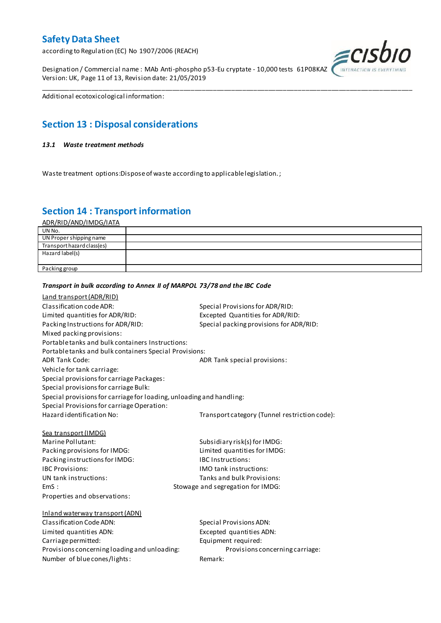according to Regulation (EC) No 1907/2006 (REACH)

Designation / Commercial name : MAb Anti-phospho p53-Eu cryptate - 10,000 tests 61P08KAZ Version: UK, Page 11 of 13, Revision date: 21/05/2019



Additional ecotoxicological information:

### **Section 13 : Disposal considerations**

#### *13.1 Waste treatment methods*

Waste treatment options:Dispose of waste according to applicable legislation. ;

*Transport in bulk according to Annex II of MARPOL 73/78 and the IBC Code*

### **Section 14 : Transport information**

ADR/RID/AND/IMDG/IATA

| UN No.                     |  |
|----------------------------|--|
| UN Proper shipping name    |  |
| Transport hazard class(es) |  |
| Hazard label(s)            |  |
|                            |  |
| Packing group              |  |

\_\_\_\_\_\_\_\_\_\_\_\_\_\_\_\_\_\_\_\_\_\_\_\_\_\_\_\_\_\_\_\_\_\_\_\_\_\_\_\_\_\_\_\_\_\_\_\_\_\_\_\_\_\_\_\_\_\_\_\_\_\_\_\_\_\_\_\_\_\_\_\_\_\_\_\_\_\_\_\_\_\_\_\_\_\_\_\_\_\_\_\_\_\_\_\_\_\_\_\_\_

### Land transport (ADR/RID) Classification code ADR: Special Provisions for ADR/RID: Limited quantities for ADR/RID:<br>
Packing Instructions for ADR/RID: Special packing provisions for ADI Special packing provisions for ADR/RID: Mixed packing provisions: Portable tanks and bulk containers Instructions: Portable tanks and bulk containers Special Provisions: ADR Tank Code: ADR Tank special provisions: Vehicle for tank carriage: Special provisions for carriage Packages: Special provisions for carriage Bulk: Special provisions for carriage for loading, unloading and handling: Special Provisions for carriage Operation: Hazard identification No: Transport category (Tunnel restriction code): Sea transport (IMDG) Marine Pollutant: Subsidiary risk(s) for IMDG: Packing provisions for IMDG: Limited quantities for IMDG: Packing instructions for IMDG: IBC Instructions: IBC Provisions: IMO tank instructions: UN tank instructions: Tanks and bulk Provisions: EmS : Stowage and segregation for IMDG: Properties and observations: Inland waterway transport (ADN) Classification Code ADN: Special Provisions ADN: Limited quantities ADN: Excepted quantities ADN: Carriage permitted: Carriage permitted: Provisions concerning loading and unloading: Provisions concerning carriage: Number of blue cones/lights: Remark: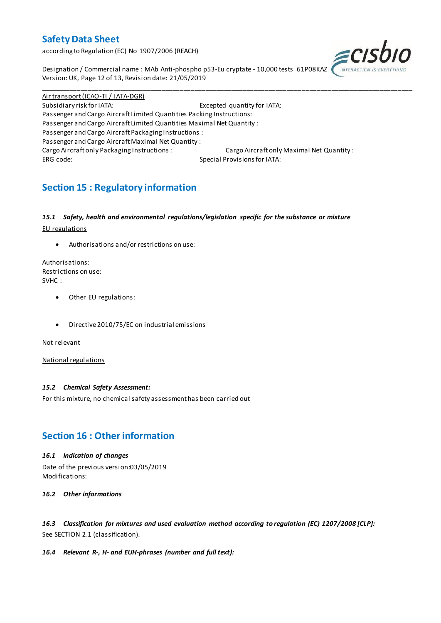according to Regulation (EC) No 1907/2006 (REACH)



Designation / Commercial name : MAb Anti-phospho p53-Eu cryptate - 10,000 tests 61P08KAZ Version: UK, Page 12 of 13, Revision date: 21/05/2019

Air transport (ICAO-TI / IATA-DGR) Subsidiary risk for IATA: Excepted quantity for IATA: Passenger and Cargo Aircraft Limited Quantities Packing Instructions: Passenger and Cargo Aircraft Limited Quantities Maximal Net Quantity : Passenger and Cargo Aircraft Packaging Instructions : Passenger and Cargo Aircraft Maximal Net Quantity : Cargo Aircraft only Packaging Instructions : Cargo Aircraft only Maximal Net Quantity : ERG code: Special Provisions for IATA:

\_\_\_\_\_\_\_\_\_\_\_\_\_\_\_\_\_\_\_\_\_\_\_\_\_\_\_\_\_\_\_\_\_\_\_\_\_\_\_\_\_\_\_\_\_\_\_\_\_\_\_\_\_\_\_\_\_\_\_\_\_\_\_\_\_\_\_\_\_\_\_\_\_\_\_\_\_\_\_\_\_\_\_\_\_\_\_\_\_\_\_\_\_\_\_\_\_\_\_\_\_

## **Section 15 : Regulatory information**

#### *15.1 Safety, health and environmental regulations/legislation specific for the substance or mixture*

EU regulations

Authorisations and/or restrictions on use:

Authorisations: Restrictions on use: SVHC :

- Other EU regulations:
- Directive 2010/75/EC on industrial emissions

Not relevant

National regulations

#### *15.2 Chemical Safety Assessment:*

For this mixture, no chemical safety assessment has been carried out

### **Section 16 : Other information**

#### *16.1 Indication of changes*

Date of the previous version:03/05/2019 Modifications:

*16.2 Other informations*

*16.3 Classification for mixtures and used evaluation method according to regulation (EC) 1207/2008 [CLP]:* See SECTION 2.1 (classification).

#### *16.4 Relevant R-, H- and EUH-phrases (number and full text):*